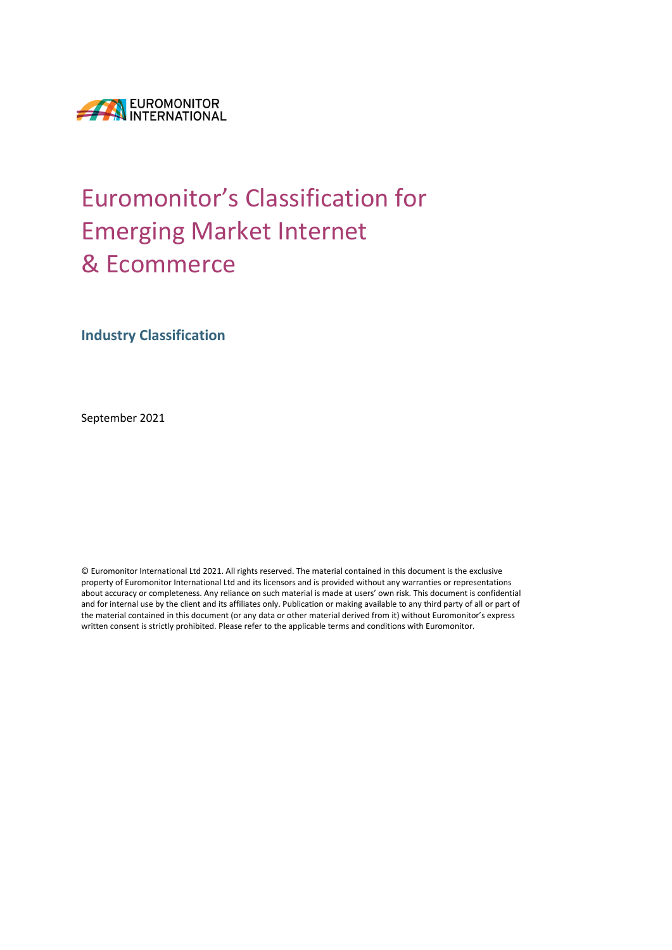

# Euromonitor's Classification for Emerging Market Internet & Ecommerce

**Industry Classification**

September 2021

© Euromonitor International Ltd 2021. All rights reserved. The material contained in this document is the exclusive property of Euromonitor International Ltd and its licensors and is provided without any warranties or representations about accuracy or completeness. Any reliance on such material is made at users' own risk. This document is confidential and for internal use by the client and its affiliates only. Publication or making available to any third party of all or part of the material contained in this document (or any data or other material derived from it) without Euromonitor's express written consent is strictly prohibited. Please refer to the applicable terms and conditions with Euromonitor.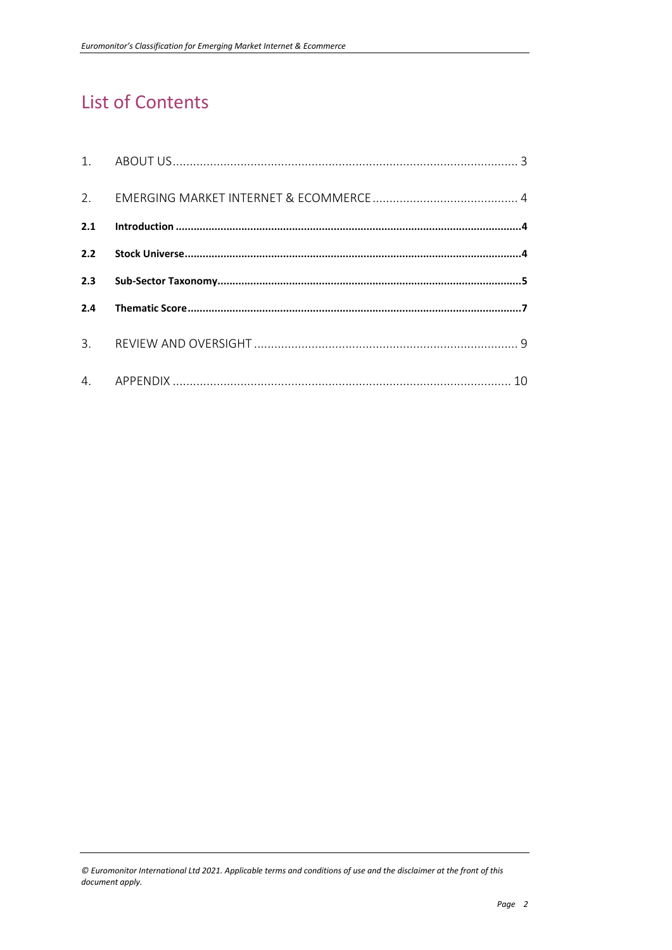# **List of Contents**

<sup>©</sup> Euromonitor International Ltd 2021. Applicable terms and conditions of use and the disclaimer at the front of this document apply.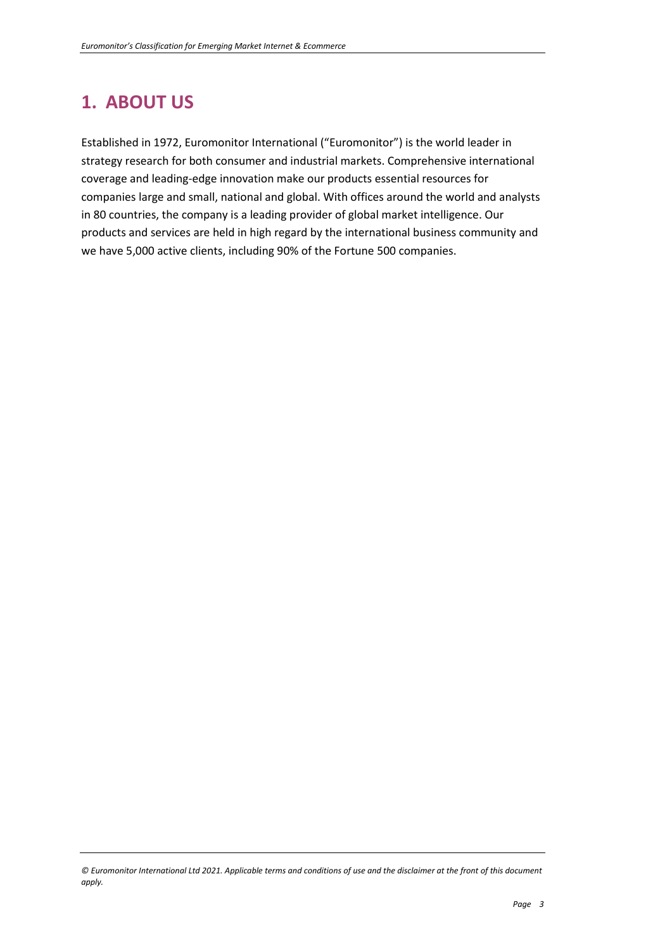# **1. ABOUT US**

Established in 1972, Euromonitor International ("Euromonitor") is the world leader in strategy research for both consumer and industrial markets. Comprehensive international coverage and leading-edge innovation make our products essential resources for companies large and small, national and global. With offices around the world and analysts in 80 countries, the company is a leading provider of global market intelligence. Our products and services are held in high regard by the international business community and we have 5,000 active clients, including 90% of the Fortune 500 companies.

*<sup>©</sup> Euromonitor International Ltd 2021. Applicable terms and conditions of use and the disclaimer at the front of this document apply.*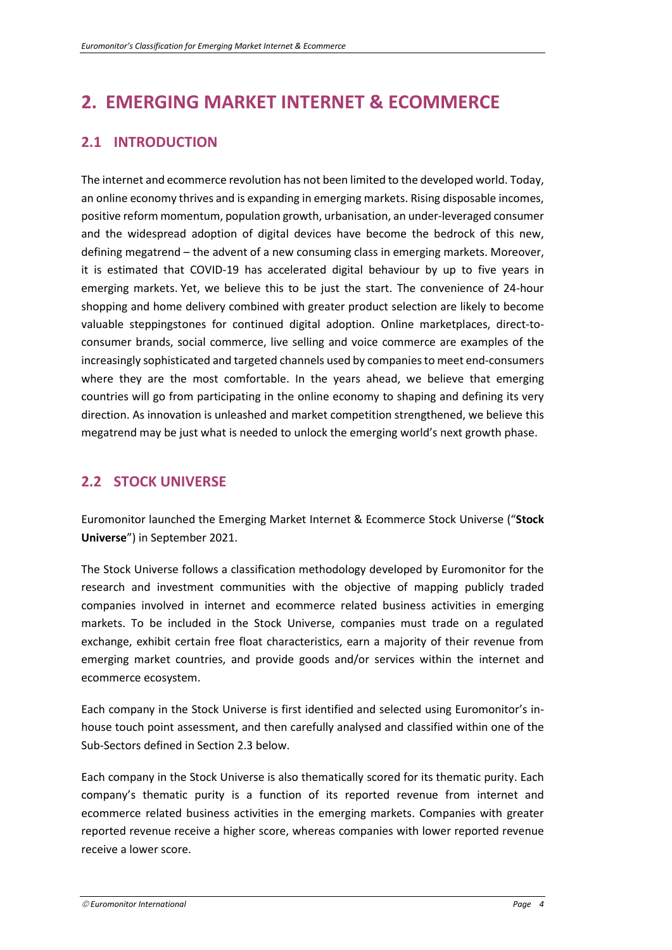### **2. EMERGING MARKET INTERNET & ECOMMERCE**

### **2.1 INTRODUCTION**

The internet and ecommerce revolution has not been limited to the developed world. Today, an online economy thrives and is expanding in emerging markets. Rising disposable incomes, positive reform momentum, population growth, urbanisation, an under-leveraged consumer and the widespread adoption of digital devices have become the bedrock of this new, defining megatrend – the advent of a new consuming class in emerging markets. Moreover, it is estimated that COVID-19 has accelerated digital behaviour by up to five years in emerging markets. Yet, we believe this to be just the start. The convenience of 24-hour shopping and home delivery combined with greater product selection are likely to become valuable steppingstones for continued digital adoption. Online marketplaces, direct-toconsumer brands, social commerce, live selling and voice commerce are examples of the increasingly sophisticated and targeted channels used by companies to meet end-consumers where they are the most comfortable. In the years ahead, we believe that emerging countries will go from participating in the online economy to shaping and defining its very direction. As innovation is unleashed and market competition strengthened, we believe this megatrend may be just what is needed to unlock the emerging world's next growth phase.

### **2.2 STOCK UNIVERSE**

Euromonitor launched the Emerging Market Internet & Ecommerce Stock Universe ("**Stock Universe**") in September 2021.

The Stock Universe follows a classification methodology developed by Euromonitor for the research and investment communities with the objective of mapping publicly traded companies involved in internet and ecommerce related business activities in emerging markets. To be included in the Stock Universe, companies must trade on a regulated exchange, exhibit certain free float characteristics, earn a majority of their revenue from emerging market countries, and provide goods and/or services within the internet and ecommerce ecosystem.

Each company in the Stock Universe is first identified and selected using Euromonitor's inhouse touch point assessment, and then carefully analysed and classified within one of the Sub-Sectors defined in Section 2.3 below.

Each company in the Stock Universe is also thematically scored for its thematic purity. Each company's thematic purity is a function of its reported revenue from internet and ecommerce related business activities in the emerging markets. Companies with greater reported revenue receive a higher score, whereas companies with lower reported revenue receive a lower score.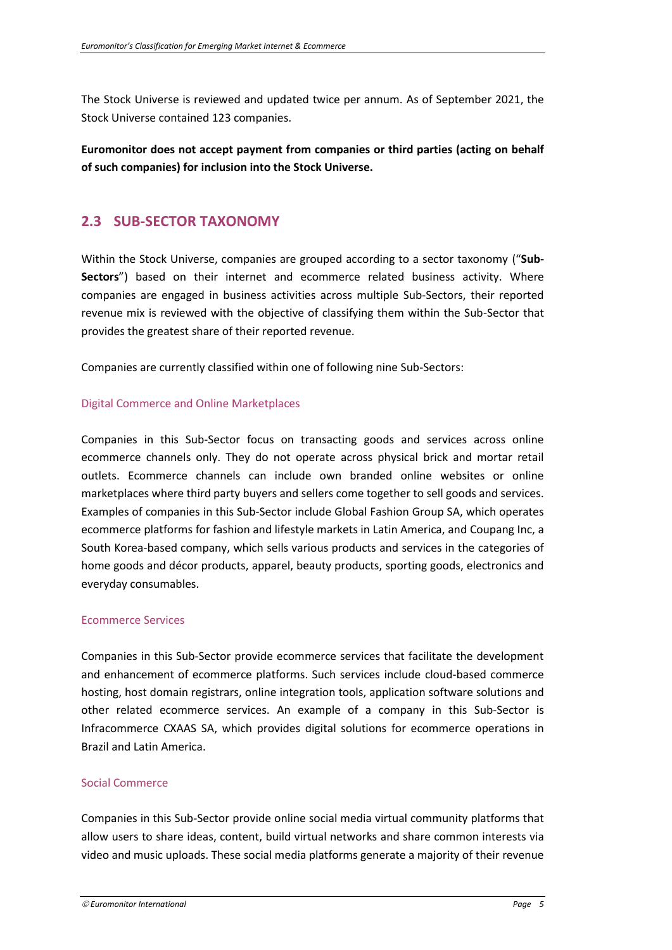The Stock Universe is reviewed and updated twice per annum. As of September 2021, the Stock Universe contained 123 companies.

**Euromonitor does not accept payment from companies or third parties (acting on behalf of such companies) for inclusion into the Stock Universe.**

### **2.3 SUB-SECTOR TAXONOMY**

Within the Stock Universe, companies are grouped according to a sector taxonomy ("**Sub-Sectors**") based on their internet and ecommerce related business activity. Where companies are engaged in business activities across multiple Sub-Sectors, their reported revenue mix is reviewed with the objective of classifying them within the Sub-Sector that provides the greatest share of their reported revenue.

Companies are currently classified within one of following nine Sub-Sectors:

#### Digital Commerce and Online Marketplaces

Companies in this Sub-Sector focus on transacting goods and services across online ecommerce channels only. They do not operate across physical brick and mortar retail outlets. Ecommerce channels can include own branded online websites or online marketplaces where third party buyers and sellers come together to sell goods and services. Examples of companies in this Sub-Sector include Global Fashion Group SA, which operates ecommerce platforms for fashion and lifestyle markets in Latin America, and Coupang Inc, a South Korea-based company, which sells various products and services in the categories of home goods and décor products, apparel, beauty products, sporting goods, electronics and everyday consumables.

#### Ecommerce Services

Companies in this Sub-Sector provide ecommerce services that facilitate the development and enhancement of ecommerce platforms. Such services include cloud-based commerce hosting, host domain registrars, online integration tools, application software solutions and other related ecommerce services. An example of a company in this Sub-Sector is Infracommerce CXAAS SA, which provides digital solutions for ecommerce operations in Brazil and Latin America.

#### Social Commerce

Companies in this Sub-Sector provide online social media virtual community platforms that allow users to share ideas, content, build virtual networks and share common interests via video and music uploads. These social media platforms generate a majority of their revenue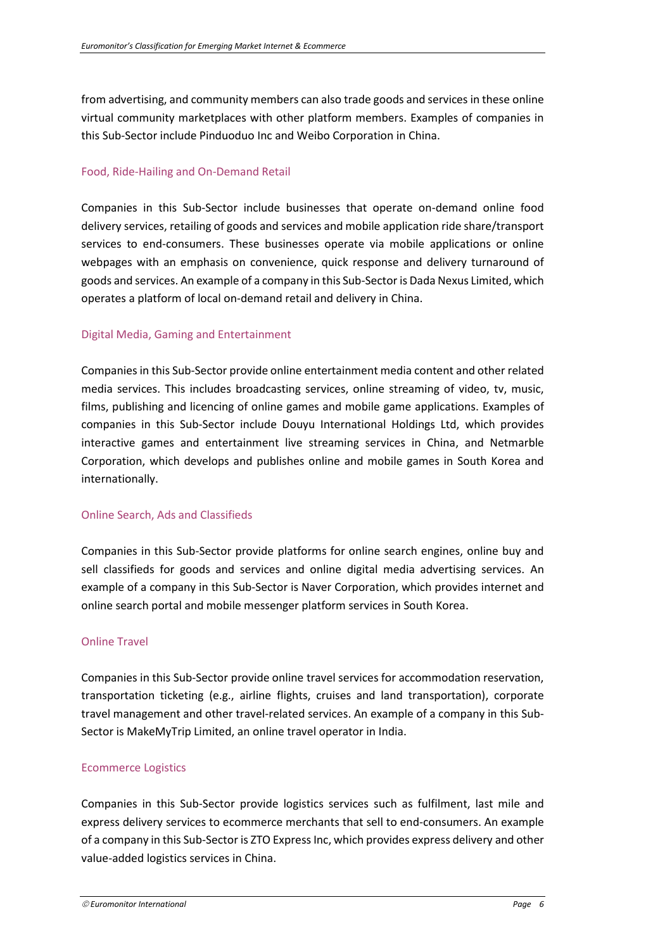from advertising, and community members can also trade goods and services in these online virtual community marketplaces with other platform members. Examples of companies in this Sub-Sector include Pinduoduo Inc and Weibo Corporation in China.

#### Food, Ride-Hailing and On-Demand Retail

Companies in this Sub-Sector include businesses that operate on-demand online food delivery services, retailing of goods and services and mobile application ride share/transport services to end-consumers. These businesses operate via mobile applications or online webpages with an emphasis on convenience, quick response and delivery turnaround of goods and services. An example of a company in this Sub-Sector is Dada Nexus Limited, which operates a platform of local on-demand retail and delivery in China.

#### Digital Media, Gaming and Entertainment

Companies in this Sub-Sector provide online entertainment media content and other related media services. This includes broadcasting services, online streaming of video, tv, music, films, publishing and licencing of online games and mobile game applications. Examples of companies in this Sub-Sector include Douyu International Holdings Ltd, which provides interactive games and entertainment live streaming services in China, and Netmarble Corporation, which develops and publishes online and mobile games in South Korea and internationally.

#### Online Search, Ads and Classifieds

Companies in this Sub-Sector provide platforms for online search engines, online buy and sell classifieds for goods and services and online digital media advertising services. An example of a company in this Sub-Sector is Naver Corporation, which provides internet and online search portal and mobile messenger platform services in South Korea.

#### Online Travel

Companies in this Sub-Sector provide online travel services for accommodation reservation, transportation ticketing (e.g., airline flights, cruises and land transportation), corporate travel management and other travel-related services. An example of a company in this Sub-Sector is MakeMyTrip Limited, an online travel operator in India.

#### Ecommerce Logistics

Companies in this Sub-Sector provide logistics services such as fulfilment, last mile and express delivery services to ecommerce merchants that sell to end-consumers. An example of a company in this Sub-Sector is ZTO Express Inc, which provides express delivery and other value-added logistics services in China.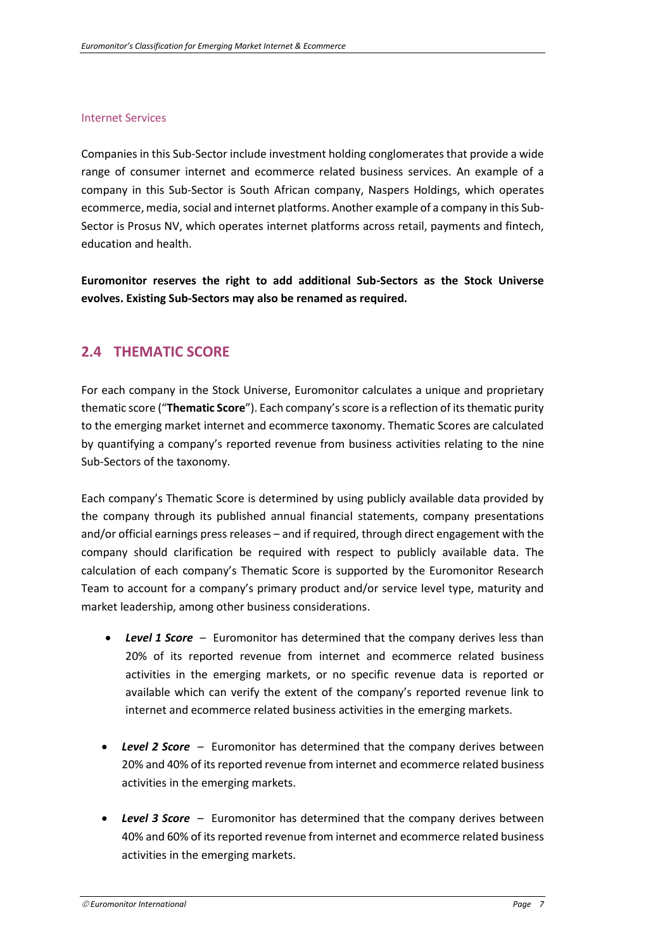#### Internet Services

Companies in this Sub-Sector include investment holding conglomerates that provide a wide range of consumer internet and ecommerce related business services. An example of a company in this Sub-Sector is South African company, Naspers Holdings, which operates ecommerce, media, social and internet platforms. Another example of a company in this Sub-Sector is Prosus NV, which operates internet platforms across retail, payments and fintech, education and health.

**Euromonitor reserves the right to add additional Sub-Sectors as the Stock Universe evolves. Existing Sub-Sectors may also be renamed as required.**

### **2.4 THEMATIC SCORE**

For each company in the Stock Universe, Euromonitor calculates a unique and proprietary thematic score ("**Thematic Score**"). Each company's score is a reflection of itsthematic purity to the emerging market internet and ecommerce taxonomy. Thematic Scores are calculated by quantifying a company's reported revenue from business activities relating to the nine Sub-Sectors of the taxonomy.

Each company's Thematic Score is determined by using publicly available data provided by the company through its published annual financial statements, company presentations and/or official earnings press releases – and if required, through direct engagement with the company should clarification be required with respect to publicly available data. The calculation of each company's Thematic Score is supported by the Euromonitor Research Team to account for a company's primary product and/or service level type, maturity and market leadership, among other business considerations.

- *Level 1 Score* Euromonitor has determined that the company derives less than 20% of its reported revenue from internet and ecommerce related business activities in the emerging markets, or no specific revenue data is reported or available which can verify the extent of the company's reported revenue link to internet and ecommerce related business activities in the emerging markets.
- *Level 2 Score* Euromonitor has determined that the company derives between 20% and 40% of its reported revenue from internet and ecommerce related business activities in the emerging markets.
- *Level 3 Score* Euromonitor has determined that the company derives between 40% and 60% of its reported revenue from internet and ecommerce related business activities in the emerging markets.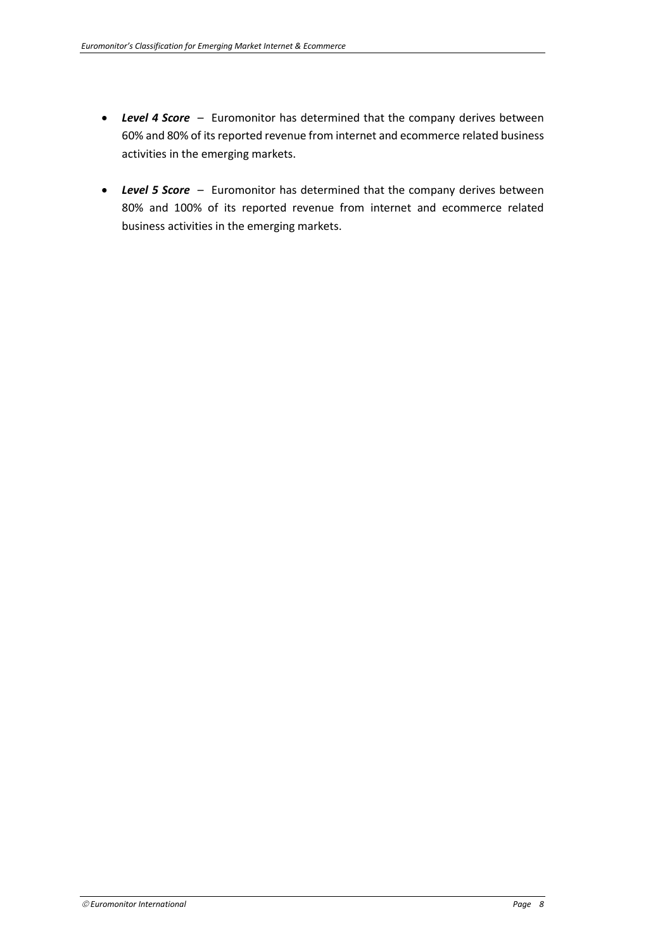- *Level 4 Score* Euromonitor has determined that the company derives between 60% and 80% of its reported revenue from internet and ecommerce related business activities in the emerging markets.
- *Level 5 Score* Euromonitor has determined that the company derives between 80% and 100% of its reported revenue from internet and ecommerce related business activities in the emerging markets.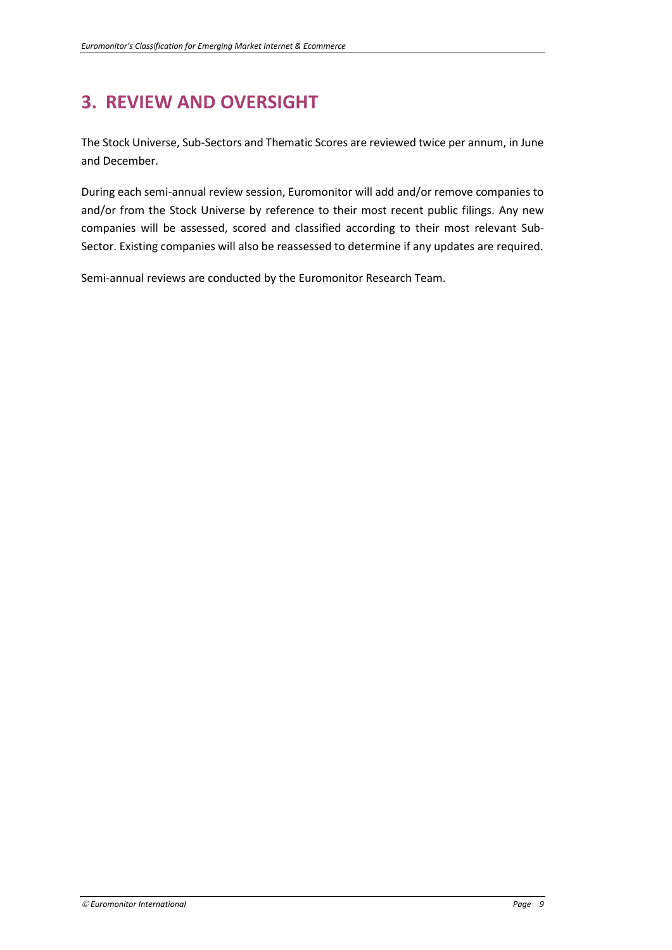# **3. REVIEW AND OVERSIGHT**

The Stock Universe, Sub-Sectors and Thematic Scores are reviewed twice per annum, in June and December.

During each semi-annual review session, Euromonitor will add and/or remove companies to and/or from the Stock Universe by reference to their most recent public filings. Any new companies will be assessed, scored and classified according to their most relevant Sub-Sector. Existing companies will also be reassessed to determine if any updates are required.

Semi-annual reviews are conducted by the Euromonitor Research Team.